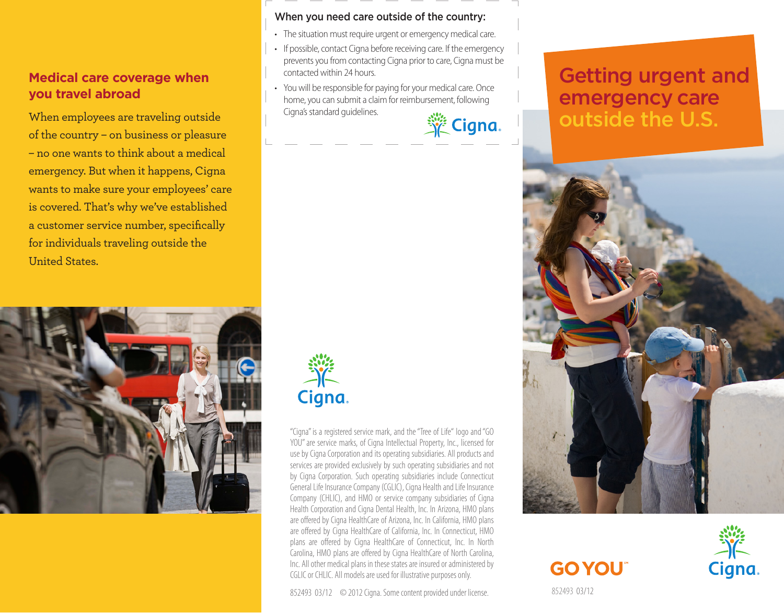### **Medical care coverage when you travel abroad**

When employees are traveling outside of the country – on business or pleasure – no one wants to think about a medical emergency. But when it happens, Cigna wants to make sure your employees' care is covered. That's why we've established a customer service number, specifically for individuals traveling outside the United States.



### When you need care outside of the country:

- The situation must require urgent or emergency medical care.
- If possible, contact Cigna before receiving care. If the emergency prevents you from contacting Cigna prior to care, Cigna must be contacted within 24 hours.
- You will be responsible for paying for your medical care. Once home, you can submit a claim for reimbursement, following Cigna's standard guidelines.

**Section** 

### Getting urgent and emergency care outside the U.S.



# **GO YOU**



852493 03/12



"Cigna" is a registered service mark, and the "Tree of Life" logo and "GO YOU" are service marks, of Cigna Intellectual Property, Inc., licensed for use by Cigna Corporation and its operating subsidiaries. All products and services are provided exclusively by such operating subsidiaries and not by Cigna Corporation. Such operating subsidiaries include Connecticut General Life Insurance Company (CGLIC), Cigna Health and Life Insurance Company (CHLIC), and HMO or service company subsidiaries of Cigna Health Corporation and Cigna Dental Health, Inc. In Arizona, HMO plans are offered by Cigna HealthCare of Arizona, Inc. In California, HMO plans are offered by Cigna HealthCare of California, Inc. In Connecticut, HMO plans are offered by Cigna HealthCare of Connecticut, Inc. In North Carolina, HMO plans are offered by Cigna HealthCare of North Carolina, Inc. All other medical plans in these states are insured or administered by CGLIC or CHLIC. All models are used for illustrative purposes only.

852493 03/12 © 2012 Cigna. Some content provided under license.